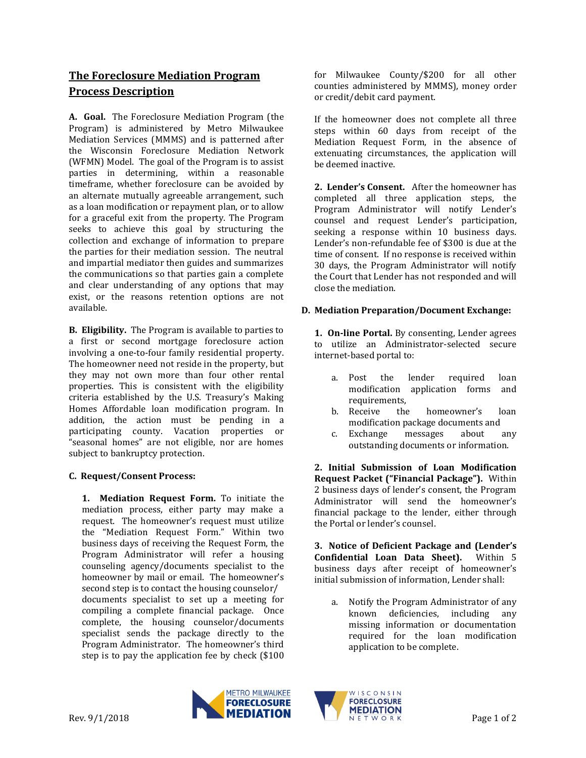## **The Foreclosure Mediation Program Process Description**

**A. Goal.** The Foreclosure Mediation Program (the Program) is administered by Metro Milwaukee Mediation Services (MMMS) and is patterned after the Wisconsin Foreclosure Mediation Network (WFMN) Model. The goal of the Program is to assist parties in determining, within a reasonable timeframe, whether foreclosure can be avoided by an alternate mutually agreeable arrangement, such as a loan modification or repayment plan, or to allow for a graceful exit from the property. The Program seeks to achieve this goal by structuring the collection and exchange of information to prepare the parties for their mediation session. The neutral and impartial mediator then guides and summarizes the communications so that parties gain a complete and clear understanding of any options that may exist, or the reasons retention options are not available.

**B. Eligibility.** The Program is available to parties to a first or second mortgage foreclosure action involving a one-to-four family residential property. The homeowner need not reside in the property, but they may not own more than four other rental properties. This is consistent with the eligibility criteria established by the U.S. Treasury's Making Homes Affordable loan modification program. In addition, the action must be pending in a participating county. Vacation properties or "seasonal homes" are not eligible, nor are homes subject to bankruptcy protection.

## **C. Request/Consent Process:**

**1. Mediation Request Form.** To initiate the mediation process, either party may make a request. The homeowner's request must utilize the "Mediation Request Form." Within two business days of receiving the Request Form, the Program Administrator will refer a housing counseling agency/documents specialist to the homeowner by mail or email. The homeowner's second step is to contact the housing counselor/ documents specialist to set up a meeting for compiling a complete financial package. Once complete, the housing counselor/documents specialist sends the package directly to the Program Administrator. The homeowner's third step is to pay the application fee by check (\$100

for Milwaukee County/\$200 for all other counties administered by MMMS), money order or credit/debit card payment.

If the homeowner does not complete all three steps within 60 days from receipt of the Mediation Request Form, in the absence of extenuating circumstances, the application will be deemed inactive.

**2. Lender's Consent.** After the homeowner has completed all three application steps, the Program Administrator will notify Lender's counsel and request Lender's participation, seeking a response within 10 business days. Lender's non-refundable fee of \$300 is due at the time of consent. If no response is received within 30 days, the Program Administrator will notify the Court that Lender has not responded and will close the mediation.

## **D. Mediation Preparation/Document Exchange:**

**1. On-line Portal.** By consenting, Lender agrees to utilize an Administrator-selected secure internet-based portal to:

- a. Post the lender required loan modification application forms and requirements,
- b. Receive the homeowner's loan modification package documents and
- c. Exchange messages about any outstanding documents or information.

**2. Initial Submission of Loan Modification Request Packet ("Financial Package").** Within 2 business days of lender's consent, the Program Administrator will send the homeowner's financial package to the lender, either through the Portal or lender's counsel.

**3. Notice of Deficient Package and (Lender's Confidential Loan Data Sheet).** Within 5 business days after receipt of homeowner's initial submission of information, Lender shall:

a. Notify the Program Administrator of any known deficiencies, including any missing information or documentation required for the loan modification application to be complete.